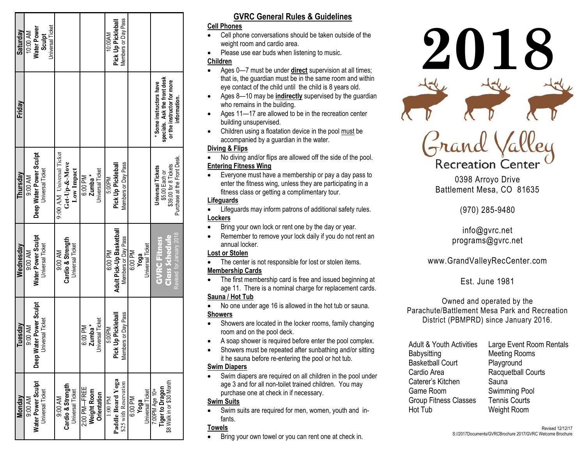| Saturday  | 10:00 AM | Water Power               | Sculpt                  | Jniversal Ticket |                          |                   |                         |                             |                    |                         | <b>IO:00AM</b>      | Pick Up Pickleball       | Members or Day Pass   |         |      |                  |                          |                              |                                              |                             |
|-----------|----------|---------------------------|-------------------------|------------------|--------------------------|-------------------|-------------------------|-----------------------------|--------------------|-------------------------|---------------------|--------------------------|-----------------------|---------|------|------------------|--------------------------|------------------------------|----------------------------------------------|-----------------------------|
| Friday    |          |                           |                         |                  |                          |                   |                         |                             |                    |                         |                     |                          |                       |         |      |                  | * Some instructors have  | specials. Ask the front desk | or the instructor for more                   | information.                |
| Thursday  | 9:00 AM  | Deep Water Power Sculpt   | Universal Ticket        |                  | 9:00 AM Universal Ticket | Get-Up-&-Move     | Low Impact              | 6:00 PM                     | Zumba <sup>*</sup> | <b>Jniversal Ticket</b> | 5:00PM              | Pick Up Pickleball       | Members or Day Pass   |         |      |                  | <b>Universal Tickets</b> | \$5.00 Each or               | \$39.00 for 8 Tickets                        | Purchase at the Front Desk. |
| Wednesday | 9:00 AM  | Water Power Sculpt        | <b>Universal Ticket</b> |                  | 9:00 AM                  | Cardio & Strength | <b>Universal Ticket</b> |                             |                    |                         | 6:00 PM             | Adult Pick-Up Basketball | Members or Day Pass   | 6:00 PM | Yoga | Universal Ticket | <b>GVRC Fitness</b>      |                              | <b>Class Schedule</b>                        | Revised for January 2018    |
| Tuesdav   | 9:00 AM  | Deep Water Power Sculpt   | Universal Ticket        |                  |                          |                   |                         | 6:00 PM                     | Zumba <sup>*</sup> | <b>Jniversal Ticket</b> | 5:00PM              | Pick Up Pickleball       | Members or Day Pass   |         |      |                  |                          |                              |                                              |                             |
| Monday    | 9:00 AM  | <b>Nater Power Sculpt</b> | Universal Ticket        |                  | 9:00 AM                  | Cardio & Strength | Universal Ticket        | 2:00 PM—FREE<br>Weight Room |                    | <b>Orientation</b>      | $1.00 \mathrm{~PM}$ | Paddle Board Yoga        | \$25 with Reservation | 6:00 PM | Yoga | Universal Ticket | +00 eby Md00:2           |                              | Tiger to Dragon<br>\$8 Walk in or \$30 Month |                             |

# **GVRC General Rules & Guidelines**

#### **Cell Phones**

- Cell phone conversations should be taken outside of the weight room and cardio area.
- Please use ear buds when listening to music.

## **Children**

- Ages 0—7 must be under **direct** supervision at all times; that is, the guardian must be in the same room and within eye contact of the child until the child is 8 years old.
- Ages 8—10 may be **indirectly** supervised by the guardian who remains in the building.
- Ages 11—17 are allowed to be in the recreation center building unsupervised.
- Children using a floatation device in the pool must be accompanied by a guardian in the water.

## **Diving & Flips**

- No diving and/or flips are allowed off the side of the pool. **Entering Fitness Wing**
- Everyone must have a membership or pay a day pass to enter the fitness wing, unless they are participating in a fitness class or getting a complimentary tour.

# **Lifeguards**

- Lifeguards may inform patrons of additional safety rules. **Lockers**
- Bring your own lock or rent one by the day or year.
- Remember to remove your lock daily if you do not rent an annual locker.

## **Lost or Stolen**

- The center is not responsible for lost or stolen items. **Membership Cards**
- The first membership card is free and issued beginning at age 11. There is a nominal charge for replacement cards. **Sauna / Hot Tub**
- No one under age 16 is allowed in the hot tub or sauna. **Showers**
- Showers are located in the locker rooms, family changing room and on the pool deck.
- A soap shower is required before enter the pool complex.
- Showers must be repeated after sunbathing and/or sitting it he sauna before re-entering the pool or hot tub.

## **Swim Diapers**

 Swim diapers are required on all children in the pool under age 3 and for all non-toilet trained children. You may purchase one at check in if necessary.

## **Swim Suits**

 Swim suits are required for men, women, youth and infants.

## **Towels**

Bring your own towel or you can rent one at check in.



0398 Arroyo Drive Battlement Mesa, CO 81635

**Recreation Center** 

(970) 285-9480

info@gvrc.net programs@gvrc.net

# www.GrandValleyRecCenter.com

Est. June 1981

Owned and operated by the Parachute/Battlement Mesa Park and Recreation District (PBMPRD) since January 2016.

| <b>Adult &amp; Youth Activities</b> | Large Event Room Rentals |
|-------------------------------------|--------------------------|
| Babysitting                         | <b>Meeting Rooms</b>     |
| <b>Basketball Court</b>             | Playground               |
| Cardio Area                         | Racquetball Courts       |
| Caterer's Kitchen                   | Sauna                    |
| Game Room                           | Swimming Pool            |
| <b>Group Fitness Classes</b>        | <b>Tennis Courts</b>     |
| Hot Tub                             | Weight Room              |